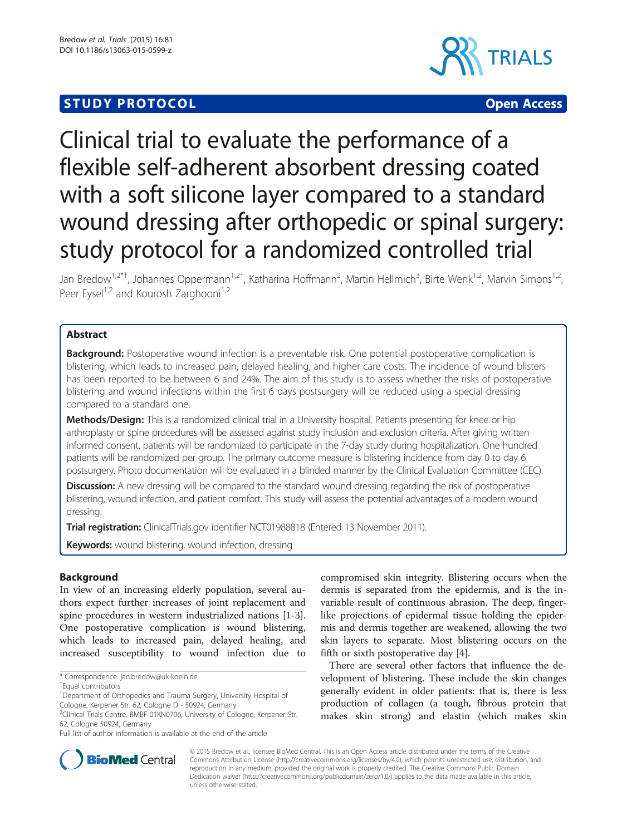# **STUDY PROTOCOL CONSUMING THE RESERVE ACCESS**





# Clinical trial to evaluate the performance of a flexible self-adherent absorbent dressing coated with a soft silicone layer compared to a standard wound dressing after orthopedic or spinal surgery: study protocol for a randomized controlled trial

Jan Bredow<sup>1,2\*†</sup>, Johannes Oppermann<sup>1,2†</sup>, Katharina Hoffmann<sup>2</sup>, Martin Hellmich<sup>3</sup>, Birte Wenk<sup>1,2</sup>, Marvin Simons<sup>1,2</sup>, Peer Eysel<sup>1,2</sup> and Kourosh Zarghooni<sup>1,2</sup>

# Abstract

Background: Postoperative wound infection is a preventable risk. One potential postoperative complication is blistering, which leads to increased pain, delayed healing, and higher care costs. The incidence of wound blisters has been reported to be between 6 and 24%. The aim of this study is to assess whether the risks of postoperative blistering and wound infections within the first 6 days postsurgery will be reduced using a special dressing compared to a standard one.

Methods/Design: This is a randomized clinical trial in a University hospital. Patients presenting for knee or hip arthroplasty or spine procedures will be assessed against study inclusion and exclusion criteria. After giving written informed consent, patients will be randomized to participate in the 7-day study during hospitalization. One hundred patients will be randomized per group. The primary outcome measure is blistering incidence from day 0 to day 6 postsurgery. Photo documentation will be evaluated in a blinded manner by the Clinical Evaluation Committee (CEC).

Discussion: A new dressing will be compared to the standard wound dressing regarding the risk of postoperative blistering, wound infection, and patient comfort. This study will assess the potential advantages of a modern wound dressing.

Trial registration: ClinicalTrials.gov identifier [NCT01988818](https://www.clinicaltrials.gov/ct2/results?term=NCT01988818&Search=Search) (Entered 13 November 2011).

Keywords: wound blistering, wound infection, dressing

# Background

In view of an increasing elderly population, several authors expect further increases of joint replacement and spine procedures in western industrialized nations [[1-3](#page-4-0)]. One postoperative complication is wound blistering, which leads to increased pain, delayed healing, and increased susceptibility to wound infection due to

compromised skin integrity. Blistering occurs when the dermis is separated from the epidermis, and is the invariable result of continuous abrasion. The deep, fingerlike projections of epidermal tissue holding the epidermis and dermis together are weakened, allowing the two skin layers to separate. Most blistering occurs on the fifth or sixth postoperative day [[4](#page-4-0)].

There are several other factors that influence the development of blistering. These include the skin changes generally evident in older patients: that is, there is less production of collagen (a tough, fibrous protein that makes skin strong) and elastin (which makes skin



© 2015 Bredow et al.; licensee BioMed Central. This is an Open Access article distributed under the terms of the Creative Commons Attribution License [\(http://creativecommons.org/licenses/by/4.0\)](http://creativecommons.org/licenses/by/4.0), which permits unrestricted use, distribution, and reproduction in any medium, provided the original work is properly credited. The Creative Commons Public Domain Dedication waiver [\(http://creativecommons.org/publicdomain/zero/1.0/](http://creativecommons.org/publicdomain/zero/1.0/)) applies to the data made available in this article, unless otherwise stated.

<sup>\*</sup> Correspondence: [jan.bredow@uk-koeln.de](mailto:jan.bredow@uk-koeln.de) †

Equal contributors

<sup>&</sup>lt;sup>1</sup>Department of Orthopedics and Trauma Surgery, University Hospital of

Cologne, Kerpener Str. 62, Cologne D - 50924, Germany

<sup>2</sup> Clinical Trials Centre, BMBF 01KN0706, University of Cologne, Kerpener Str. 62, Cologne 50924, Germany

Full list of author information is available at the end of the article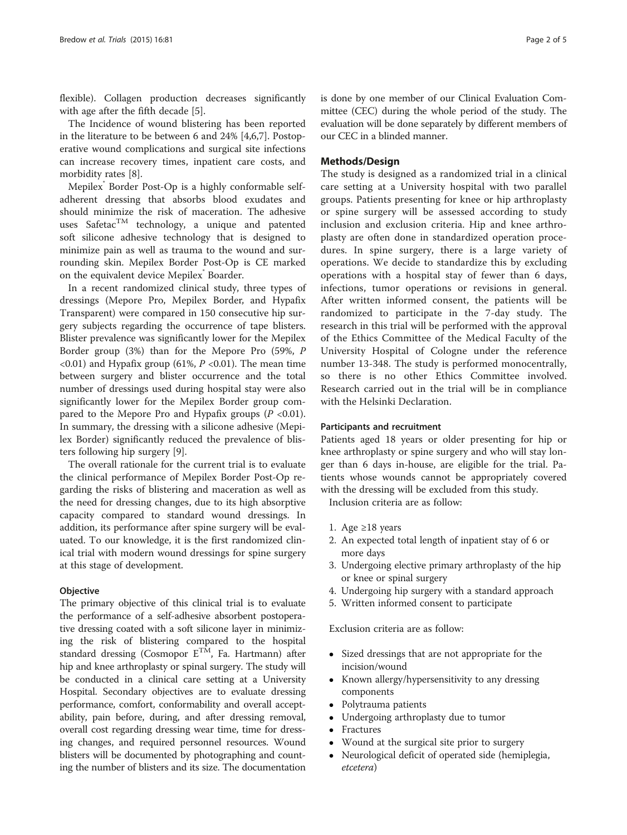flexible). Collagen production decreases significantly with age after the fifth decade [\[5](#page-4-0)].

The Incidence of wound blistering has been reported in the literature to be between 6 and 24% [[4,6,7\]](#page-4-0). Postoperative wound complications and surgical site infections can increase recovery times, inpatient care costs, and morbidity rates [\[8](#page-4-0)].

Mepilex Border Post-Op is a highly conformable selfadherent dressing that absorbs blood exudates and should minimize the risk of maceration. The adhesive uses Safetac<sup>TM</sup> technology, a unique and patented soft silicone adhesive technology that is designed to minimize pain as well as trauma to the wound and surrounding skin. Mepilex Border Post-Op is CE marked on the equivalent device Mepilex<sup>®</sup> Boarder.

In a recent randomized clinical study, three types of dressings (Mepore Pro, Mepilex Border, and Hypafix Transparent) were compared in 150 consecutive hip surgery subjects regarding the occurrence of tape blisters. Blister prevalence was significantly lower for the Mepilex Border group (3%) than for the Mepore Pro (59%, P  $\langle 0.01 \rangle$  and Hypafix group (61%, P $\langle 0.01 \rangle$ ). The mean time between surgery and blister occurrence and the total number of dressings used during hospital stay were also significantly lower for the Mepilex Border group compared to the Mepore Pro and Hypafix groups  $(P \le 0.01)$ . In summary, the dressing with a silicone adhesive (Mepilex Border) significantly reduced the prevalence of blisters following hip surgery [\[9](#page-4-0)].

The overall rationale for the current trial is to evaluate the clinical performance of Mepilex Border Post-Op regarding the risks of blistering and maceration as well as the need for dressing changes, due to its high absorptive capacity compared to standard wound dressings. In addition, its performance after spine surgery will be evaluated. To our knowledge, it is the first randomized clinical trial with modern wound dressings for spine surgery at this stage of development.

## **Objective**

The primary objective of this clinical trial is to evaluate the performance of a self-adhesive absorbent postoperative dressing coated with a soft silicone layer in minimizing the risk of blistering compared to the hospital standard dressing (Cosmopor  $E^{TM}$ , Fa. Hartmann) after hip and knee arthroplasty or spinal surgery. The study will be conducted in a clinical care setting at a University Hospital. Secondary objectives are to evaluate dressing performance, comfort, conformability and overall acceptability, pain before, during, and after dressing removal, overall cost regarding dressing wear time, time for dressing changes, and required personnel resources. Wound blisters will be documented by photographing and counting the number of blisters and its size. The documentation is done by one member of our Clinical Evaluation Committee (CEC) during the whole period of the study. The evaluation will be done separately by different members of our CEC in a blinded manner.

# Methods/Design

The study is designed as a randomized trial in a clinical care setting at a University hospital with two parallel groups. Patients presenting for knee or hip arthroplasty or spine surgery will be assessed according to study inclusion and exclusion criteria. Hip and knee arthroplasty are often done in standardized operation procedures. In spine surgery, there is a large variety of operations. We decide to standardize this by excluding operations with a hospital stay of fewer than 6 days, infections, tumor operations or revisions in general. After written informed consent, the patients will be randomized to participate in the 7-day study. The research in this trial will be performed with the approval of the Ethics Committee of the Medical Faculty of the University Hospital of Cologne under the reference number 13-348. The study is performed monocentrally, so there is no other Ethics Committee involved. Research carried out in the trial will be in compliance with the Helsinki Declaration.

## Participants and recruitment

Patients aged 18 years or older presenting for hip or knee arthroplasty or spine surgery and who will stay longer than 6 days in-house, are eligible for the trial. Patients whose wounds cannot be appropriately covered with the dressing will be excluded from this study.

Inclusion criteria are as follow:

- 1. Age ≥18 years
- 2. An expected total length of inpatient stay of 6 or more days
- 3. Undergoing elective primary arthroplasty of the hip or knee or spinal surgery
- 4. Undergoing hip surgery with a standard approach
- 5. Written informed consent to participate

Exclusion criteria are as follow:

- Sized dressings that are not appropriate for the incision/wound
- Known allergy/hypersensitivity to any dressing components
- Polytrauma patients
- Undergoing arthroplasty due to tumor
- Fractures
- Wound at the surgical site prior to surgery
- Neurological deficit of operated side (hemiplegia, etcetera)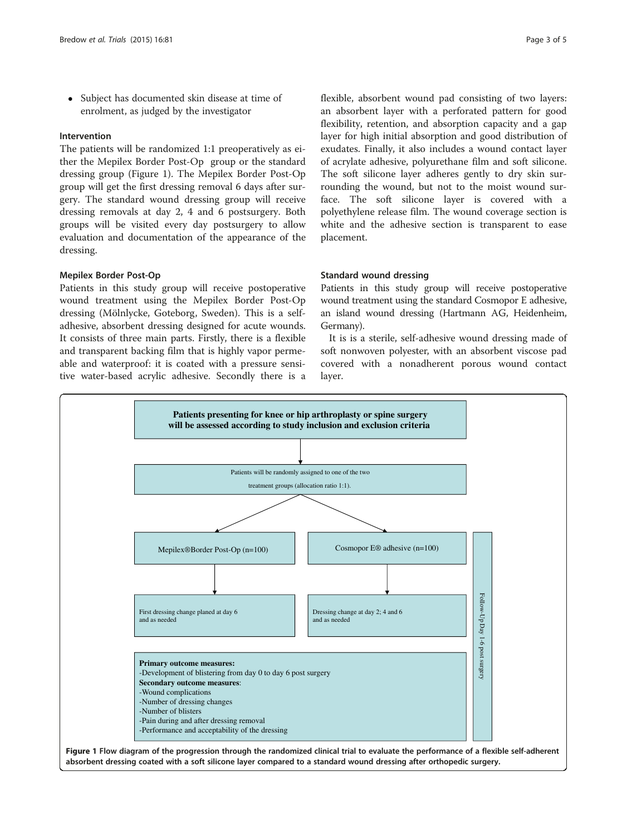• Subject has documented skin disease at time of enrolment, as judged by the investigator

# Intervention

The patients will be randomized 1:1 preoperatively as either the Mepilex Border Post-Op group or the standard dressing group (Figure 1). The Mepilex Border Post-Op group will get the first dressing removal 6 days after surgery. The standard wound dressing group will receive dressing removals at day 2, 4 and 6 postsurgery. Both groups will be visited every day postsurgery to allow evaluation and documentation of the appearance of the dressing.

#### Mepilex Border Post-Op

Patients in this study group will receive postoperative wound treatment using the Mepilex Border Post-Op dressing (Mölnlycke, Goteborg, Sweden). This is a selfadhesive, absorbent dressing designed for acute wounds. It consists of three main parts. Firstly, there is a flexible and transparent backing film that is highly vapor permeable and waterproof: it is coated with a pressure sensitive water-based acrylic adhesive. Secondly there is a flexible, absorbent wound pad consisting of two layers: an absorbent layer with a perforated pattern for good flexibility, retention, and absorption capacity and a gap layer for high initial absorption and good distribution of exudates. Finally, it also includes a wound contact layer of acrylate adhesive, polyurethane film and soft silicone. The soft silicone layer adheres gently to dry skin surrounding the wound, but not to the moist wound surface. The soft silicone layer is covered with a polyethylene release film. The wound coverage section is white and the adhesive section is transparent to ease placement.

#### Standard wound dressing

Patients in this study group will receive postoperative wound treatment using the standard Cosmopor E adhesive, an island wound dressing (Hartmann AG, Heidenheim, Germany).

It is is a sterile, self-adhesive wound dressing made of soft nonwoven polyester, with an absorbent viscose pad covered with a nonadherent porous wound contact layer.

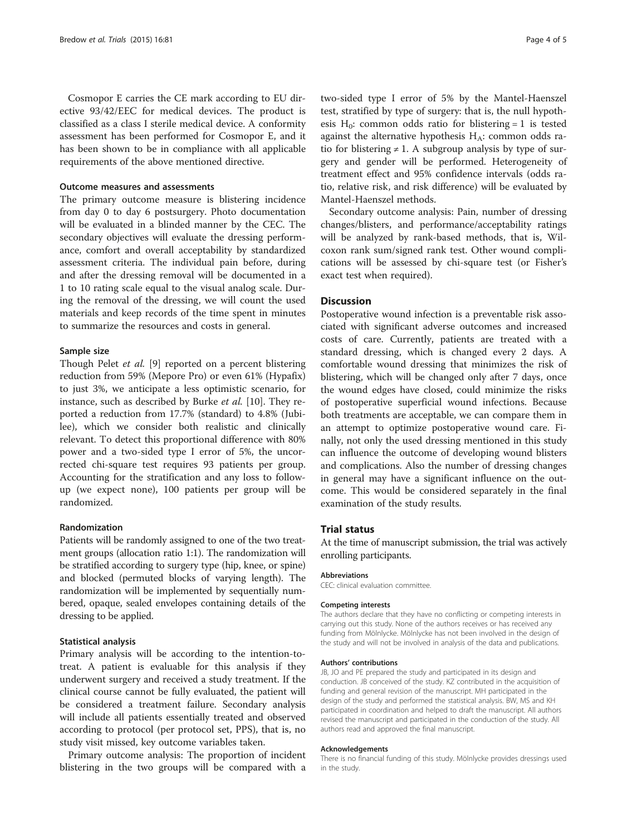Cosmopor E carries the CE mark according to EU directive 93/42/EEC for medical devices. The product is classified as a class I sterile medical device. A conformity assessment has been performed for Cosmopor E, and it has been shown to be in compliance with all applicable requirements of the above mentioned directive.

#### Outcome measures and assessments

The primary outcome measure is blistering incidence from day 0 to day 6 postsurgery. Photo documentation will be evaluated in a blinded manner by the CEC. The secondary objectives will evaluate the dressing performance, comfort and overall acceptability by standardized assessment criteria. The individual pain before, during and after the dressing removal will be documented in a 1 to 10 rating scale equal to the visual analog scale. During the removal of the dressing, we will count the used materials and keep records of the time spent in minutes to summarize the resources and costs in general.

#### Sample size

Though Pelet et al. [[9\]](#page-4-0) reported on a percent blistering reduction from 59% (Mepore Pro) or even 61% (Hypafix) to just 3%, we anticipate a less optimistic scenario, for instance, such as described by Burke et al. [\[10\]](#page-4-0). They reported a reduction from 17.7% (standard) to 4.8% (Jubilee), which we consider both realistic and clinically relevant. To detect this proportional difference with 80% power and a two-sided type I error of 5%, the uncorrected chi-square test requires 93 patients per group. Accounting for the stratification and any loss to followup (we expect none), 100 patients per group will be randomized.

# Randomization

Patients will be randomly assigned to one of the two treatment groups (allocation ratio 1:1). The randomization will be stratified according to surgery type (hip, knee, or spine) and blocked (permuted blocks of varying length). The randomization will be implemented by sequentially numbered, opaque, sealed envelopes containing details of the dressing to be applied.

#### Statistical analysis

Primary analysis will be according to the intention-totreat. A patient is evaluable for this analysis if they underwent surgery and received a study treatment. If the clinical course cannot be fully evaluated, the patient will be considered a treatment failure. Secondary analysis will include all patients essentially treated and observed according to protocol (per protocol set, PPS), that is, no study visit missed, key outcome variables taken.

Primary outcome analysis: The proportion of incident blistering in the two groups will be compared with a two-sided type I error of 5% by the Mantel-Haenszel test, stratified by type of surgery: that is, the null hypothesis  $H_0$ : common odds ratio for blistering = 1 is tested against the alternative hypothesis  $H_A$ : common odds ratio for blistering  $\neq$  1. A subgroup analysis by type of surgery and gender will be performed. Heterogeneity of treatment effect and 95% confidence intervals (odds ratio, relative risk, and risk difference) will be evaluated by Mantel-Haenszel methods.

Secondary outcome analysis: Pain, number of dressing changes/blisters, and performance/acceptability ratings will be analyzed by rank-based methods, that is, Wilcoxon rank sum/signed rank test. Other wound complications will be assessed by chi-square test (or Fisher's exact test when required).

# **Discussion**

Postoperative wound infection is a preventable risk associated with significant adverse outcomes and increased costs of care. Currently, patients are treated with a standard dressing, which is changed every 2 days. A comfortable wound dressing that minimizes the risk of blistering, which will be changed only after 7 days, once the wound edges have closed, could minimize the risks of postoperative superficial wound infections. Because both treatments are acceptable, we can compare them in an attempt to optimize postoperative wound care. Finally, not only the used dressing mentioned in this study can influence the outcome of developing wound blisters and complications. Also the number of dressing changes in general may have a significant influence on the outcome. This would be considered separately in the final examination of the study results.

#### Trial status

At the time of manuscript submission, the trial was actively enrolling participants.

#### Abbreviations

CEC: clinical evaluation committee.

#### Competing interests

The authors declare that they have no conflicting or competing interests in carrying out this study. None of the authors receives or has received any funding from Mölnlycke. Mölnlycke has not been involved in the design of the study and will not be involved in analysis of the data and publications.

#### Authors' contributions

JB, JO and PE prepared the study and participated in its design and conduction. JB conceived of the study. KZ contributed in the acquisition of funding and general revision of the manuscript. MH participated in the design of the study and performed the statistical analysis. BW, MS and KH participated in coordination and helped to draft the manuscript. All authors revised the manuscript and participated in the conduction of the study. All authors read and approved the final manuscript.

#### Acknowledgements

There is no financial funding of this study. Mölnlycke provides dressings used in the study.